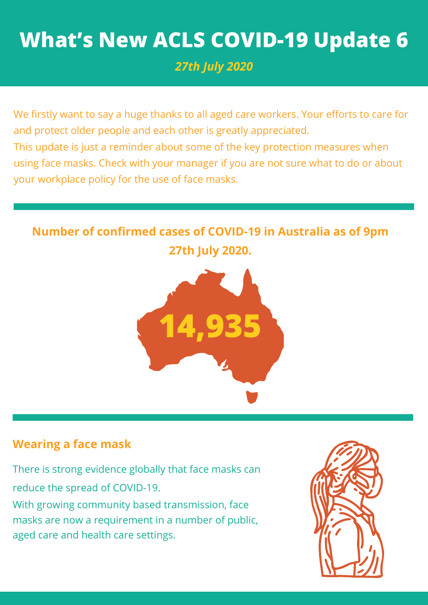# **What's New ACLS COVID-19 Update 6**

*27th July 2020*

We firstly want to say a huge thanks to all aged care workers. Your efforts to care for and protect older people and each other is greatly appreciated. This update is just a reminder about some of the key protection measures when using face masks. Check with your manager if you are not sure what to do or about your workplace policy for the use of face masks.

# **Number of confirmed cases of COVID-19 in Australia as of 9pm 27th July 2020.**



## **Wearing a face mask**

There is strong evidence globally that face masks can reduce the spread of COVID-19. With growing community based transmission, face masks are now a requirement in a number of public, aged care and health care settings.

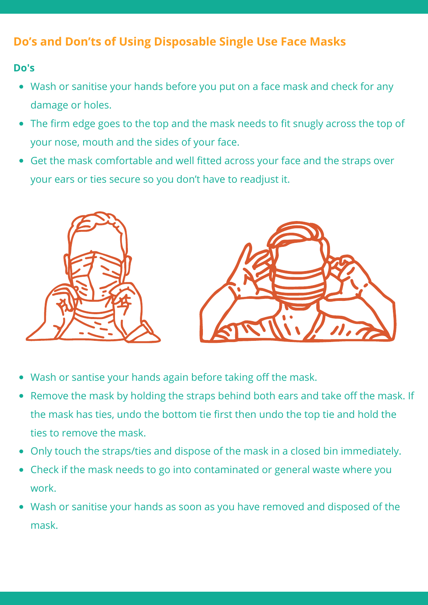## **Do's and Don'ts of Using Disposable Single Use Face Masks**

#### **Do's**

- Wash or sanitise your hands before you put on a face mask and check for any damage or holes.
- The firm edge goes to the top and the mask needs to fit snugly across the top of  $\bullet$ your nose, mouth and the sides of your face.
- Get the mask comfortable and well fitted across your face and the straps over your ears or ties secure so you don't have to readjust it.



- Wash or santise your hands again before taking off the mask.
- Remove the mask by holding the straps behind both ears and take off the mask. If  $\bullet$ the mask has ties, undo the bottom tie first then undo the top tie and hold the ties to remove the mask.
- Only touch the straps/ties and dispose of the mask in a closed bin immediately.
- Check if the mask needs to go into contaminated or general waste where you work.
- Wash or sanitise your hands as soon as you have removed and disposed of the mask.